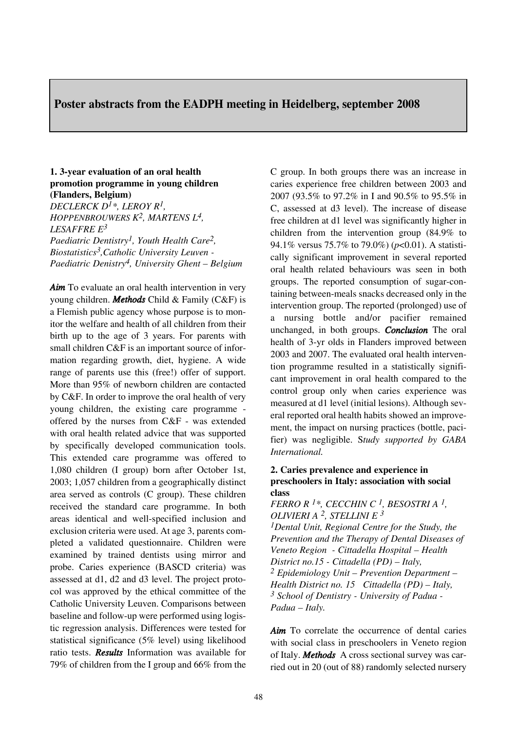# **Poster abstracts from the EADPH meeting in Heidelberg, september 2008**

## **1. 3-year evaluation of an oral health promotion programme in young children (Flanders, Belgium)**

*DECLERCK D1\*, LEROY R1, HOPPENBROUWERS K2, MARTENS L4, LESAFFRE E3 Paediatric Dentistry1, Youth Health Care2, Biostatistics3,Catholic University Leuven - Paediatric Denistry4, University Ghent – Belgium*

Aim To evaluate an oral health intervention in very young children. *Methods* Child & Family (C&F) is a Flemish public agency whose purpose is to monitor the welfare and health of all children from their birth up to the age of 3 years. For parents with small children C&F is an important source of information regarding growth, diet, hygiene. A wide range of parents use this (free!) offer of support. More than 95% of newborn children are contacted by C&F. In order to improve the oral health of very young children, the existing care programme offered by the nurses from C&F - was extended with oral health related advice that was supported by specifically developed communication tools. This extended care programme was offered to 1,080 children (I group) born after October 1st, 2003; 1,057 children from a geographically distinct area served as controls (C group). These children received the standard care programme. In both areas identical and well-specified inclusion and exclusion criteria were used. At age 3, parents completed a validated questionnaire. Children were examined by trained dentists using mirror and probe. Caries experience (BASCD criteria) was assessed at d1, d2 and d3 level. The project protocol was approved by the ethical committee of the Catholic University Leuven. Comparisons between baseline and follow-up were performed using logistic regression analysis. Differences were tested for statistical significance (5% level) using likelihood ratio tests. *Results* Information was available for 79% of children from the I group and 66% from the C group. In both groups there was an increase in caries experience free children between 2003 and 2007 (93.5% to 97.2% in I and 90.5% to 95.5% in C, assessed at d3 level). The increase of disease free children at d1 level was significantly higher in children from the intervention group (84.9% to 94.1% versus 75.7% to 79.0%) (*p*<0.01). A statistically significant improvement in several reported oral health related behaviours was seen in both groups. The reported consumption of sugar-containing between-meals snacks decreased only in the intervention group. The reported (prolonged) use of a nursing bottle and/or pacifier remained unchanged, in both groups. *Conclusion* The oral health of 3-yr olds in Flanders improved between 2003 and 2007. The evaluated oral health intervention programme resulted in a statistically significant improvement in oral health compared to the control group only when caries experience was measured at d1 level (initial lesions). Although several reported oral health habits showed an improvement, the impact on nursing practices (bottle, pacifier) was negligible. S*tudy supported by GABA International.*

## **2. Caries prevalence and experience in preschoolers in Italy: association with social class**

*FERRO R 1\*, CECCHIN C 1, BESOSTRI A 1, OLIVIERI A 2, STELLINI E 3 1Dental Unit, Regional Centre for the Study, the Prevention and the Therapy of Dental Diseases of Veneto Region - Cittadella Hospital – Health District no.15 - Cittadella (PD) – Italy, 2 Epidemiology Unit – Prevention Department – Health District no. 15 Cittadella (PD) – Italy, 3 School of Dentistry - University of Padua - Padua – Italy.*

Aim To correlate the occurrence of dental caries with social class in preschoolers in Veneto region of Italy. *Methods* A cross sectional survey was carried out in 20 (out of 88) randomly selected nursery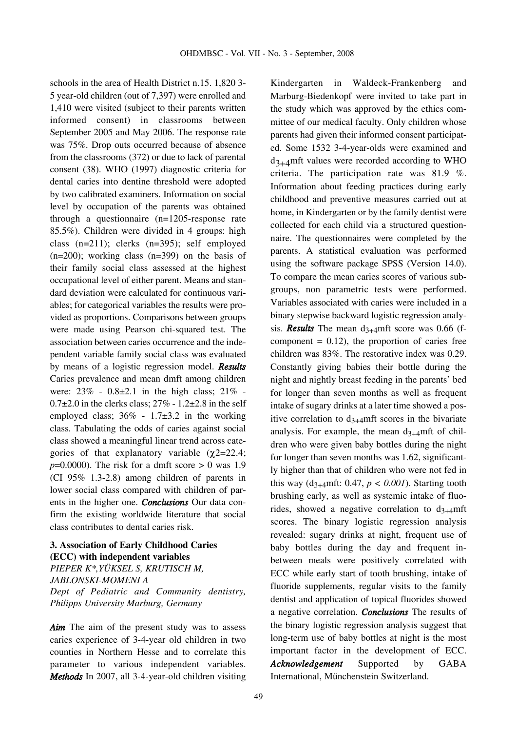schools in the area of Health District n.15. 1,820 3- 5 year-old children (out of 7,397) were enrolled and 1,410 were visited (subject to their parents written informed consent) in classrooms between September 2005 and May 2006. The response rate was 75%. Drop outs occurred because of absence from the classrooms (372) or due to lack of parental consent (38). WHO (1997) diagnostic criteria for dental caries into dentine threshold were adopted by two calibrated examiners. Information on social level by occupation of the parents was obtained through a questionnaire (n=1205-response rate 85.5%). Children were divided in 4 groups: high class (n=211); clerks (n=395); self employed  $(n=200)$ ; working class  $(n=399)$  on the basis of their family social class assessed at the highest occupational level of either parent. Means and standard deviation were calculated for continuous variables; for categorical variables the results were provided as proportions. Comparisons between groups were made using Pearson chi-squared test. The association between caries occurrence and the independent variable family social class was evaluated by means of a logistic regression model. *Results* Caries prevalence and mean dmft among children were:  $23\% - 0.8\pm 2.1$  in the high class;  $21\% 0.7\pm2.0$  in the clerks class;  $27\%$  -  $1.2\pm2.8$  in the self employed class;  $36\%$  -  $1.7\pm3.2$  in the working class. Tabulating the odds of caries against social class showed a meaningful linear trend across categories of that explanatory variable  $(\chi$ 2=22.4;  $p=0.0000$ ). The risk for a dmft score  $> 0$  was 1.9 (CI 95% 1.3-2.8) among children of parents in lower social class compared with children of parents in the higher one. *Conclusions* Our data confirm the existing worldwide literature that social class contributes to dental caries risk.

# **3. Association of Early Childhood Caries (ECC) with independent variables** *PIEPER K\*,YÜKSEL S, KRUTISCH M, JABLONSKI-MOMENI A Dept of Pediatric and Community dentistry, Philipps University Marburg, Germany*

*Aim* The aim of the present study was to assess caries experience of 3-4-year old children in two counties in Northern Hesse and to correlate this parameter to various independent variables. *Methods* In 2007, all 3-4-year-old children visiting

Kindergarten in Waldeck-Frankenberg and Marburg-Biedenkopf were invited to take part in the study which was approved by the ethics committee of our medical faculty. Only children whose parents had given their informed consent participated. Some 1532 3-4-year-olds were examined and  $d_{3+4}$ mft values were recorded according to WHO criteria. The participation rate was 81.9 %. Information about feeding practices during early childhood and preventive measures carried out at home, in Kindergarten or by the family dentist were collected for each child via a structured questionnaire. The questionnaires were completed by the parents. A statistical evaluation was performed using the software package SPSS (Version 14.0). To compare the mean caries scores of various subgroups, non parametric tests were performed. Variables associated with caries were included in a binary stepwise backward logistic regression analysis. **Results** The mean  $d_{3+4}$ mft score was 0.66 (fcomponent  $= 0.12$ ), the proportion of caries free children was 83%. The restorative index was 0.29. Constantly giving babies their bottle during the night and nightly breast feeding in the parents' bed for longer than seven months as well as frequent intake of sugary drinks at a later time showed a positive correlation to  $d_{3+4}$ mft scores in the bivariate analysis. For example, the mean  $d_{3+4}$ mft of children who were given baby bottles during the night for longer than seven months was 1.62, significantly higher than that of children who were not fed in this way  $(d_{3+4}mft: 0.47, p < 0.001)$ . Starting tooth brushing early, as well as systemic intake of fluorides, showed a negative correlation to  $d_{3+4}$ mft scores. The binary logistic regression analysis revealed: sugary drinks at night, frequent use of baby bottles during the day and frequent inbetween meals were positively correlated with ECC while early start of tooth brushing, intake of fluoride supplements, regular visits to the family dentist and application of topical fluorides showed a negative correlation. *Conclusions* The results of the binary logistic regression analysis suggest that long-term use of baby bottles at night is the most important factor in the development of ECC. *Acknowledgement* Supported by GABA International, Münchenstein Switzerland.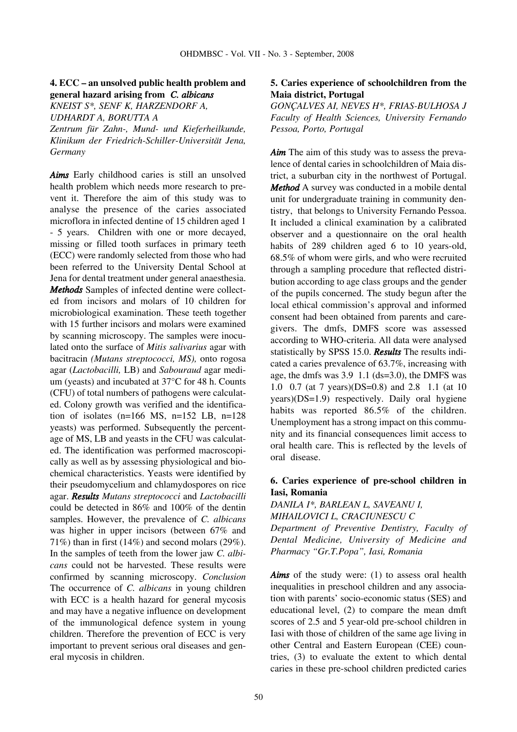## **4. ECC – an unsolved public health problem and general hazard arising from** *C. albicans*

*KNEIST S\*, SENF K, HARZENDORF A,*

*UDHARDT A, BORUTTA A*

*Zentrum für Zahn-, Mund- und Kieferheilkunde, Klinikum der Friedrich-Schiller-Universität Jena, Germany*

*Aims* Early childhood caries is still an unsolved health problem which needs more research to prevent it. Therefore the aim of this study was to analyse the presence of the caries associated microflora in infected dentine of 15 children aged 1 - 5 years. Children with one or more decayed, missing or filled tooth surfaces in primary teeth (ECC) were randomly selected from those who had been referred to the University Dental School at Jena for dental treatment under general anaesthesia. *Methods* Samples of infected dentine were collected from incisors and molars of 10 children for microbiological examination. These teeth together with 15 further incisors and molars were examined by scanning microscopy. The samples were inoculated onto the surface of *Mitis salivarius* agar with bacitracin *(Mutans streptococci, MS),* onto rogosa agar (*Lactobacilli,* LB) and *Sabouraud* agar medium (yeasts) and incubated at 37°C for 48 h. Counts (CFU) of total numbers of pathogens were calculated. Colony growth was verified and the identification of isolates (n=166 MS, n=152 LB, n=128 yeasts) was performed. Subsequently the percentage of MS, LB and yeasts in the CFU was calculated. The identification was performed macroscopically as well as by assessing physiological and biochemical characteristics. Yeasts were identified by their pseudomycelium and chlamydospores on rice agar. *Results Mutans streptococci* and *Lactobacilli* could be detected in 86% and 100% of the dentin samples. However, the prevalence of *C. albicans* was higher in upper incisors (between 67% and 71%) than in first (14%) and second molars (29%). In the samples of teeth from the lower jaw *C. albicans* could not be harvested. These results were confirmed by scanning microscopy. *Conclusion* The occurrence of *C. albicans* in young children with ECC is a health hazard for general mycosis and may have a negative influence on development of the immunological defence system in young children. Therefore the prevention of ECC is very important to prevent serious oral diseases and general mycosis in children.

# **5. Caries experience of schoolchildren from the Maia district, Portugal**

*GONÇALVES AI, NEVES H\*, FRIAS-BULHOSA J Faculty of Health Sciences, University Fernando Pessoa, Porto, Portugal*

*Aim* The aim of this study was to assess the prevalence of dental caries in schoolchildren of Maia district, a suburban city in the northwest of Portugal. *Method* A survey was conducted in a mobile dental unit for undergraduate training in community dentistry, that belongs to University Fernando Pessoa. It included a clinical examination by a calibrated observer and a questionnaire on the oral health habits of 289 children aged 6 to 10 years-old, 68.5% of whom were girls, and who were recruited through a sampling procedure that reflected distribution according to age class groups and the gender of the pupils concerned. The study begun after the local ethical commission's approval and informed consent had been obtained from parents and caregivers. The dmfs, DMFS score was assessed according to WHO-criteria. All data were analysed statistically by SPSS 15.0. *Results* The results indicated a caries prevalence of 63.7%, increasing with age, the dmfs was 3.9 1.1 (ds=3.0), the DMFS was 1.0 0.7 (at 7 years)(DS=0.8) and 2.8 1.1 (at 10 years)(DS=1.9) respectively. Daily oral hygiene habits was reported 86.5% of the children. Unemployment has a strong impact on this community and its financial consequences limit access to oral health care. This is reflected by the levels of oral disease.

# **6. Caries experience of pre-school children in Iasi, Romania**

*DANILA I\*, BARLEAN L, SAVEANU I, MIHAILOVICI L, CRACIUNESCU C Department of Preventive Dentistry, Faculty of*

*Dental Medicine, University of Medicine and Pharmacy "Gr.T.Popa", Iasi, Romania*

*Aims* of the study were: (1) to assess oral health inequalities in preschool children and any association with parents' socio-economic status (SES) and educational level, (2) to compare the mean dmft scores of 2.5 and 5 year-old pre-school children in Iasi with those of children of the same age living in other Central and Eastern European (CEE) countries, (3) to evaluate the extent to which dental caries in these pre-school children predicted caries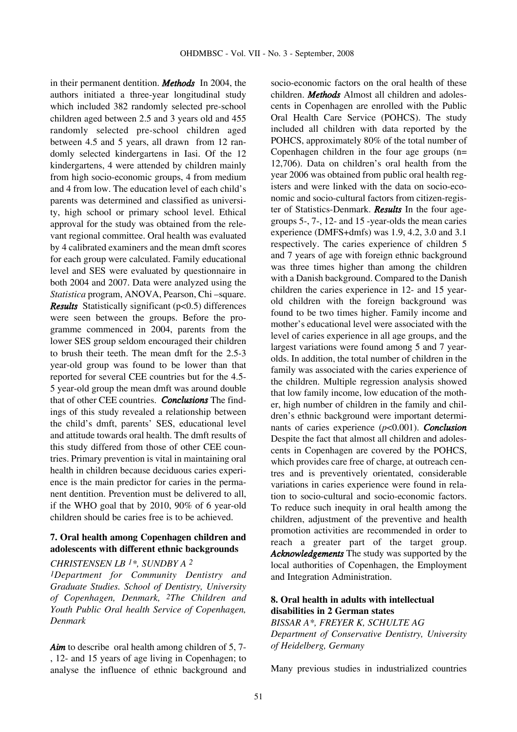in their permanent dentition. *Methods* In 2004, the authors initiated a three-year longitudinal study which included 382 randomly selected pre-school children aged between 2.5 and 3 years old and 455 randomly selected pre-school children aged between 4.5 and 5 years, all drawn from 12 randomly selected kindergartens in Iasi. Of the 12 kindergartens, 4 were attended by children mainly from high socio-economic groups, 4 from medium and 4 from low. The education level of each child's parents was determined and classified as university, high school or primary school level. Ethical approval for the study was obtained from the relevant regional committee. Oral health was evaluated by 4 calibrated examiners and the mean dmft scores for each group were calculated. Family educational level and SES were evaluated by questionnaire in both 2004 and 2007. Data were analyzed using the *Statistica* program, ANOVA, Pearson, Chi –square. *Results* Statistically significant (p<0.5) differences were seen between the groups. Before the programme commenced in 2004, parents from the lower SES group seldom encouraged their children to brush their teeth. The mean dmft for the 2.5-3 year-old group was found to be lower than that reported for several CEE countries but for the 4.5- 5 year-old group the mean dmft was around double that of other CEE countries. *Conclusions* The findings of this study revealed a relationship between the child's dmft, parents' SES, educational level and attitude towards oral health. The dmft results of this study differed from those of other CEE countries. Primary prevention is vital in maintaining oral health in children because deciduous caries experience is the main predictor for caries in the permanent dentition. Prevention must be delivered to all, if the WHO goal that by 2010, 90% of 6 year-old children should be caries free is to be achieved.

# **7. Oral health among Copenhagen children and adolescents with different ethnic backgrounds**

#### *CHRISTENSEN LB 1\*, SUNDBY A 2*

*1Department for Community Dentistry and Graduate Studies. School of Dentistry, University of Copenhagen, Denmark, 2The Children and Youth Public Oral health Service of Copenhagen, Denmark*

Aim to describe oral health among children of 5, 7-, 12- and 15 years of age living in Copenhagen; to analyse the influence of ethnic background and socio-economic factors on the oral health of these children. *Methods* Almost all children and adolescents in Copenhagen are enrolled with the Public Oral Health Care Service (POHCS). The study included all children with data reported by the POHCS, approximately 80% of the total number of Copenhagen children in the four age groups (n= 12,706). Data on children's oral health from the year 2006 was obtained from public oral health registers and were linked with the data on socio-economic and socio-cultural factors from citizen-register of Statistics-Denmark. *Results* In the four agegroups 5-, 7-, 12- and 15 -year-olds the mean caries experience (DMFS+dmfs) was 1.9, 4.2, 3.0 and 3.1 respectively. The caries experience of children 5 and 7 years of age with foreign ethnic background was three times higher than among the children with a Danish background. Compared to the Danish children the caries experience in 12- and 15 yearold children with the foreign background was found to be two times higher. Family income and mother's educational level were associated with the level of caries experience in all age groups, and the largest variations were found among 5 and 7 yearolds. In addition, the total number of children in the family was associated with the caries experience of the children. Multiple regression analysis showed that low family income, low education of the mother, high number of children in the family and children's ethnic background were important determinants of caries experience (*p*<0.001). *Conclusion* Despite the fact that almost all children and adolescents in Copenhagen are covered by the POHCS, which provides care free of charge, at outreach centres and is preventively orientated, considerable variations in caries experience were found in relation to socio-cultural and socio-economic factors. To reduce such inequity in oral health among the children, adjustment of the preventive and health promotion activities are recommended in order to reach a greater part of the target group. *Acknowledgements* The study was supported by the local authorities of Copenhagen, the Employment and Integration Administration.

#### **8. Oral health in adults with intellectual disabilities in 2 German states**

*BISSAR A\*, FREYER K, SCHULTE AG Department of Conservative Dentistry, University of Heidelberg, Germany*

Many previous studies in industrialized countries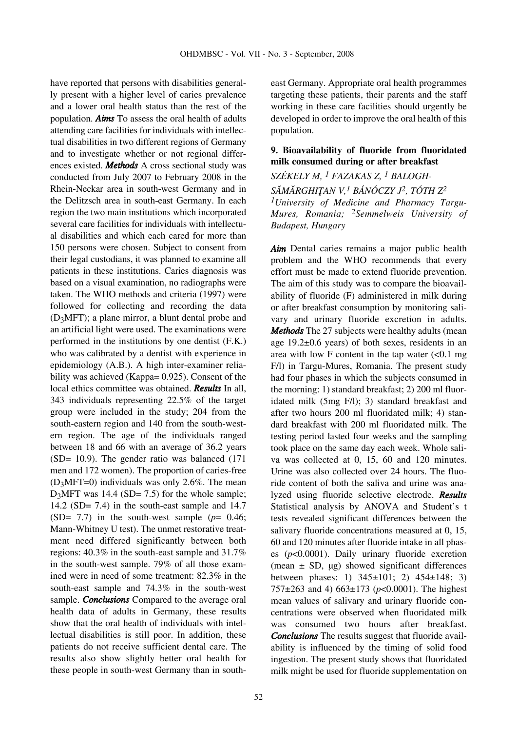have reported that persons with disabilities generally present with a higher level of caries prevalence and a lower oral health status than the rest of the population. *Aims* To assess the oral health of adults attending care facilities for individuals with intellectual disabilities in two different regions of Germany and to investigate whether or not regional differences existed. *Methods* A cross sectional study was conducted from July 2007 to February 2008 in the Rhein-Neckar area in south-west Germany and in the Delitzsch area in south-east Germany. In each region the two main institutions which incorporated several care facilities for individuals with intellectual disabilities and which each cared for more than 150 persons were chosen. Subject to consent from their legal custodians, it was planned to examine all patients in these institutions. Caries diagnosis was based on a visual examination, no radiographs were taken. The WHO methods and criteria (1997) were followed for collecting and recording the data (D3MFT); a plane mirror, a blunt dental probe and an artificial light were used. The examinations were performed in the institutions by one dentist (F.K.) who was calibrated by a dentist with experience in epidemiology (A.B.). A high inter-examiner reliability was achieved (Kappa= 0.925). Consent of the local ethics committee was obtained. *Results* In all, 343 individuals representing 22.5% of the target group were included in the study; 204 from the south-eastern region and 140 from the south-western region. The age of the individuals ranged between 18 and 66 with an average of 36.2 years (SD= 10.9). The gender ratio was balanced (171 men and 172 women). The proportion of caries-free  $(D<sub>3</sub>MT=0)$  individuals was only 2.6%. The mean  $D_3MFT$  was 14.4 (SD= 7.5) for the whole sample; 14.2 (SD= 7.4) in the south-east sample and 14.7 (SD=  $7.7$ ) in the south-west sample ( $p= 0.46$ ; Mann-Whitney U test). The unmet restorative treatment need differed significantly between both regions: 40.3% in the south-east sample and 31.7% in the south-west sample. 79% of all those examined were in need of some treatment: 82.3% in the south-east sample and 74.3% in the south-west sample. *Conclusions* Compared to the average oral health data of adults in Germany, these results show that the oral health of individuals with intellectual disabilities is still poor. In addition, these patients do not receive sufficient dental care. The results also show slightly better oral health for these people in south-west Germany than in south-

east Germany. Appropriate oral health programmes targeting these patients, their parents and the staff working in these care facilities should urgently be developed in order to improve the oral health of this population.

# **9. Bioavailability of fluoride from fluoridated milk consumed during or after breakfast**

# *SZÉKELY M, 1 FAZAKAS Z, 1 BALOGH-*

SĂMĂRGHITAN V,<sup>1</sup> BÁNÓCZY J<sup>2</sup>, TÓTH Z<sup>2</sup> *1University of Medicine and Pharmacy Targu-Mures, Romania; 2Semmelweis University of Budapest, Hungary*

*Aim* Dental caries remains a major public health problem and the WHO recommends that every effort must be made to extend fluoride prevention. The aim of this study was to compare the bioavailability of fluoride (F) administered in milk during or after breakfast consumption by monitoring salivary and urinary fluoride excretion in adults. *Methods* The 27 subjects were healthy adults (mean age 19.2±0.6 years) of both sexes, residents in an area with low F content in the tap water  $\ll 0.1$  mg F/l) in Targu-Mures, Romania. The present study had four phases in which the subjects consumed in the morning: 1) standard breakfast; 2) 200 ml fluoridated milk (5mg F/l); 3) standard breakfast and after two hours 200 ml fluoridated milk; 4) standard breakfast with 200 ml fluoridated milk. The testing period lasted four weeks and the sampling took place on the same day each week. Whole saliva was collected at 0, 15, 60 and 120 minutes. Urine was also collected over 24 hours. The fluoride content of both the saliva and urine was analyzed using fluoride selective electrode. *Results* Statistical analysis by ANOVA and Student's t tests revealed significant differences between the salivary fluoride concentrations measured at 0, 15, 60 and 120 minutes after fluoride intake in all phases (*p*<0.0001). Daily urinary fluoride excretion (mean  $\pm$  SD,  $\mu$ g) showed significant differences between phases: 1) 345±101; 2) 454±148; 3) 757±263 and 4) 663±173 (*p*<0.0001). The highest mean values of salivary and urinary fluoride concentrations were observed when fluoridated milk was consumed two hours after breakfast. *Conclusions* The results suggest that fluoride availability is influenced by the timing of solid food ingestion. The present study shows that fluoridated milk might be used for fluoride supplementation on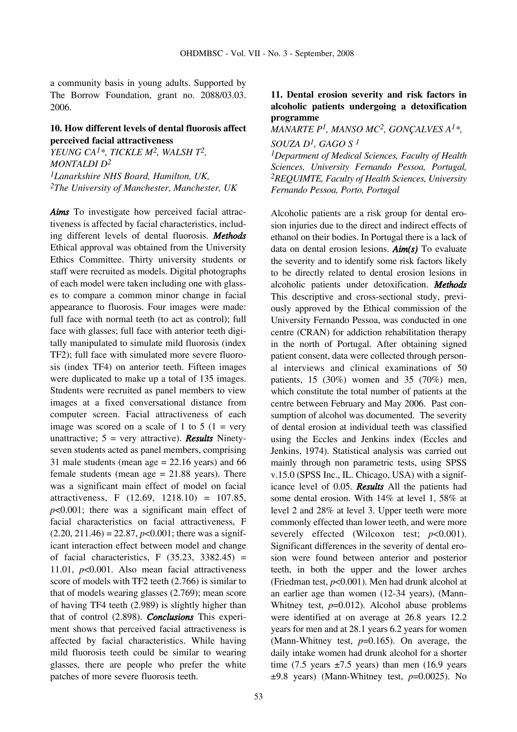a community basis in young adults. Supported by The Borrow Foundation, grant no. 2088/03.03. 2006.

# **10. How different levels of dental fluorosis affect perceived facial attractiveness**

*YEUNG CA1\*, TICKLE M2, WALSH T2, MONTALDI D2 1Lanarkshire NHS Board, Hamilton, UK, 2The University of Manchester, Manchester, UK*

*Aims* To investigate how perceived facial attractiveness is affected by facial characteristics, including different levels of dental fluorosis. *Methods* Ethical approval was obtained from the University Ethics Committee. Thirty university students or staff were recruited as models. Digital photographs of each model were taken including one with glasses to compare a common minor change in facial appearance to fluorosis. Four images were made: full face with normal teeth (to act as control); full face with glasses; full face with anterior teeth digitally manipulated to simulate mild fluorosis (index TF2); full face with simulated more severe fluorosis (index TF4) on anterior teeth. Fifteen images were duplicated to make up a total of 135 images. Students were recruited as panel members to view images at a fixed conversational distance from computer screen. Facial attractiveness of each image was scored on a scale of 1 to 5 ( $1 = \text{very}$ ) unattractive; 5 = very attractive). *Results* Ninetyseven students acted as panel members, comprising 31 male students (mean age  $= 22.16$  years) and 66 female students (mean age  $= 21.88$  years). There was a significant main effect of model on facial attractiveness, F (12.69, 1218.10) = 107.85, *p*<0.001; there was a significant main effect of facial characteristics on facial attractiveness, F  $(2.20, 211.46) = 22.87, p<0.001$ ; there was a significant interaction effect between model and change of facial characteristics, F  $(35.23, 3382.45)$  = 11.01, *p*<0.001. Also mean facial attractiveness score of models with TF2 teeth (2.766) is similar to that of models wearing glasses (2.769); mean score of having TF4 teeth (2.989) is slightly higher than that of control (2.898). *Conclusions* This experiment shows that perceived facial attractiveness is affected by facial characteristics. While having mild fluorosis teeth could be similar to wearing glasses, there are people who prefer the white patches of more severe fluorosis teeth.

# **11. Dental erosion severity and risk factors in alcoholic patients undergoing a detoxification programme**

*MANARTE P1, MANSO MC2, GONÇALVES A1\*,*

*SOUZA D1, GAGO S 1 1Department of Medical Sciences, Faculty of Health*

*Sciences, University Fernando Pessoa, Portugal, 2REQUIMTE, Faculty of Health Sciences, University Fernando Pessoa, Porto, Portugal*

Alcoholic patients are a risk group for dental erosion injuries due to the direct and indirect effects of ethanol on their bodies. In Portugal there is a lack of data on dental erosion lesions. *Aim(s)* To evaluate the severity and to identify some risk factors likely to be directly related to dental erosion lesions in alcoholic patients under detoxification. *Methods* This descriptive and cross-sectional study, previously approved by the Ethical commission of the University Fernando Pessoa, was conducted in one centre (CRAN) for addiction rehabilitation therapy in the north of Portugal. After obtaining signed patient consent, data were collected through personal interviews and clinical examinations of 50 patients, 15 (30%) women and 35 (70%) men, which constitute the total number of patients at the centre between February and May 2006. Past consumption of alcohol was documented. The severity of dental erosion at individual teeth was classified using the Eccles and Jenkins index (Eccles and Jenkins, 1974). Statistical analysis was carried out mainly through non parametric tests, using SPSS v.15.0 (SPSS Inc., IL. Chicago, USA) with a significance level of 0.05. *Results* All the patients had some dental erosion. With 14% at level 1, 58% at level 2 and 28% at level 3. Upper teeth were more commonly effected than lower teeth, and were more severely effected (Wilcoxon test;  $p<0.001$ ). Significant differences in the severity of dental erosion were found between anterior and posterior teeth, in both the upper and the lower arches (Friedman test, *p*<0.001). Men had drunk alcohol at an earlier age than women (12-34 years), (Mann-Whitney test,  $p=0.012$ ). Alcohol abuse problems were identified at on average at 26.8 years 12.2 years for men and at 28.1 years 6.2 years for women (Mann-Whitney test, *p*=0.165). On average, the daily intake women had drunk alcohol for a shorter time (7.5 years  $\pm$ 7.5 years) than men (16.9 years ±9.8 years) (Mann-Whitney test, *p*=0.0025). No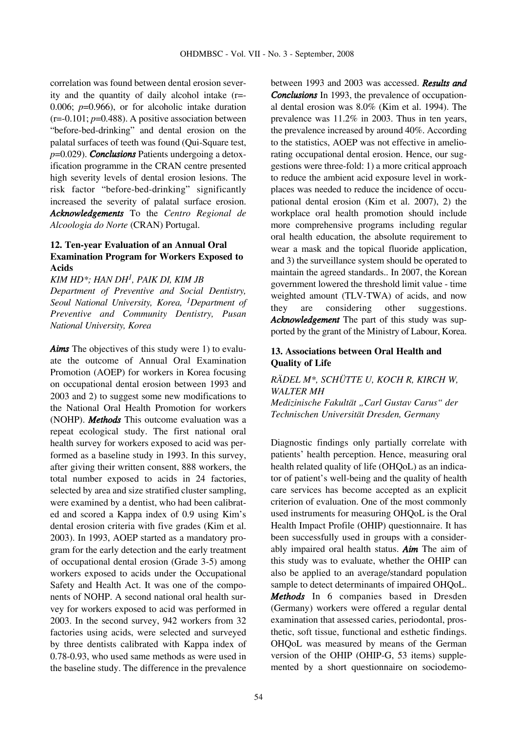correlation was found between dental erosion severity and the quantity of daily alcohol intake (r=- 0.006; *p*=0.966), or for alcoholic intake duration  $(r=0.101; p=0.488)$ . A positive association between "before-bed-drinking" and dental erosion on the palatal surfaces of teeth was found (Qui-Square test, *p*=0.029). *Conclusions* Patients undergoing a detoxification programme in the CRAN centre presented high severity levels of dental erosion lesions. The risk factor "before-bed-drinking" significantly increased the severity of palatal surface erosion. *Acknowledgements* To the *Centro Regional de Alcoologia do Norte* (CRAN) Portugal.

# **12. Ten-year Evaluation of an Annual Oral Examination Program for Workers Exposed to Acids**

*KIM HD\*; HAN DH1, PAIK DI, KIM JB Department of Preventive and Social Dentistry, Seoul National University, Korea, 1Department of Preventive and Community Dentistry, Pusan National University, Korea*

*Aims* The objectives of this study were 1) to evaluate the outcome of Annual Oral Examination Promotion (AOEP) for workers in Korea focusing on occupational dental erosion between 1993 and 2003 and 2) to suggest some new modifications to the National Oral Health Promotion for workers (NOHP). *Methods* This outcome evaluation was a repeat ecological study. The first national oral health survey for workers exposed to acid was performed as a baseline study in 1993. In this survey, after giving their written consent, 888 workers, the total number exposed to acids in 24 factories, selected by area and size stratified cluster sampling, were examined by a dentist, who had been calibrated and scored a Kappa index of 0.9 using Kim's dental erosion criteria with five grades (Kim et al. 2003). In 1993, AOEP started as a mandatory program for the early detection and the early treatment of occupational dental erosion (Grade 3-5) among workers exposed to acids under the Occupational Safety and Health Act. It was one of the components of NOHP. A second national oral health survey for workers exposed to acid was performed in 2003. In the second survey, 942 workers from 32 factories using acids, were selected and surveyed by three dentists calibrated with Kappa index of 0.78-0.93, who used same methods as were used in the baseline study. The difference in the prevalence between 1993 and 2003 was accessed. *Results and Conclusions* In 1993, the prevalence of occupational dental erosion was 8.0% (Kim et al. 1994). The prevalence was 11.2% in 2003. Thus in ten years, the prevalence increased by around 40%. According to the statistics, AOEP was not effective in ameliorating occupational dental erosion. Hence, our suggestions were three-fold: 1) a more critical approach to reduce the ambient acid exposure level in workplaces was needed to reduce the incidence of occupational dental erosion (Kim et al. 2007), 2) the workplace oral health promotion should include more comprehensive programs including regular oral health education, the absolute requirement to wear a mask and the topical fluoride application, and 3) the surveillance system should be operated to maintain the agreed standards.. In 2007, the Korean government lowered the threshold limit value - time weighted amount (TLV-TWA) of acids, and now they are considering other suggestions. *Acknowledgement* The part of this study was supported by the grant of the Ministry of Labour, Korea.

## **13. Associations between Oral Health and Quality of Life**

# *RÄDEL M\*, SCHÜTTE U, KOCH R, KIRCH W, WALTER MH Medizinische Fakultät "Carl Gustav Carus" der Technischen Universität Dresden, Germany*

Diagnostic findings only partially correlate with patients' health perception. Hence, measuring oral health related quality of life (OHQoL) as an indicator of patient's well-being and the quality of health care services has become accepted as an explicit criterion of evaluation. One of the most commonly used instruments for measuring OHQoL is the Oral Health Impact Profile (OHIP) questionnaire. It has been successfully used in groups with a considerably impaired oral health status. *Aim* The aim of this study was to evaluate, whether the OHIP can also be applied to an average/standard population sample to detect determinants of impaired OHQoL. *Methods* In 6 companies based in Dresden (Germany) workers were offered a regular dental examination that assessed caries, periodontal, prosthetic, soft tissue, functional and esthetic findings. OHQoL was measured by means of the German version of the OHIP (OHIP-G, 53 items) supplemented by a short questionnaire on sociodemo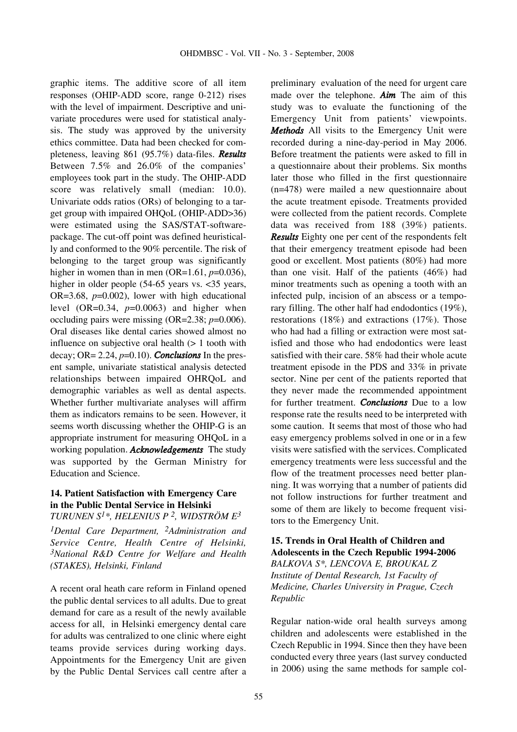graphic items. The additive score of all item responses (OHIP-ADD score, range 0-212) rises with the level of impairment. Descriptive and univariate procedures were used for statistical analysis. The study was approved by the university ethics committee. Data had been checked for completeness, leaving 861 (95.7%) data-files. *Results* Between 7.5% and 26.0% of the companies' employees took part in the study. The OHIP-ADD score was relatively small (median: 10.0). Univariate odds ratios (ORs) of belonging to a target group with impaired OHQoL (OHIP-ADD>36) were estimated using the SAS/STAT-softwarepackage. The cut-off point was defined heuristically and conformed to the 90% percentile. The risk of belonging to the target group was significantly higher in women than in men (OR=1.61, *p*=0.036), higher in older people (54-65 years vs. <35 years, OR=3.68, *p*=0.002), lower with high educational level  $(OR=0.34, p=0.0063)$  and higher when occluding pairs were missing (OR=2.38; *p*=0.006). Oral diseases like dental caries showed almost no influence on subjective oral health  $(> 1$  tooth with decay; OR= 2.24, *p*=0.10). *Conclusions* In the present sample, univariate statistical analysis detected relationships between impaired OHRQoL and demographic variables as well as dental aspects. Whether further multivariate analyses will affirm them as indicators remains to be seen. However, it seems worth discussing whether the OHIP-G is an appropriate instrument for measuring OHQoL in a working population. *Acknowledgements* The study was supported by the German Ministry for Education and Science.

# **14. Patient Satisfaction with Emergency Care in the Public Dental Service in Helsinki**

*TURUNEN S1\*, HELENIUS P 2, WIDSTRÖM E3*

*1Dental Care Department, 2Administration and Service Centre, Health Centre of Helsinki, 3National R&D Centre for Welfare and Health (STAKES), Helsinki, Finland*

A recent oral heath care reform in Finland opened the public dental services to all adults. Due to great demand for care as a result of the newly available access for all, in Helsinki emergency dental care for adults was centralized to one clinic where eight teams provide services during working days. Appointments for the Emergency Unit are given by the Public Dental Services call centre after a preliminary evaluation of the need for urgent care made over the telephone. *Aim* The aim of this study was to evaluate the functioning of the Emergency Unit from patients' viewpoints. *Methods* All visits to the Emergency Unit were recorded during a nine-day-period in May 2006. Before treatment the patients were asked to fill in a questionnaire about their problems. Six months later those who filled in the first questionnaire (n=478) were mailed a new questionnaire about the acute treatment episode. Treatments provided were collected from the patient records. Complete data was received from 188 (39%) patients. *Results* Eighty one per cent of the respondents felt that their emergency treatment episode had been good or excellent. Most patients (80%) had more than one visit. Half of the patients (46%) had minor treatments such as opening a tooth with an infected pulp, incision of an abscess or a temporary filling. The other half had endodontics (19%), restorations (18%) and extractions (17%). Those who had had a filling or extraction were most satisfied and those who had endodontics were least satisfied with their care. 58% had their whole acute treatment episode in the PDS and 33% in private sector. Nine per cent of the patients reported that they never made the recommended appointment for further treatment. *Conclusions* Due to a low response rate the results need to be interpreted with some caution. It seems that most of those who had easy emergency problems solved in one or in a few visits were satisfied with the services. Complicated emergency treatments were less successful and the flow of the treatment processes need better planning. It was worrying that a number of patients did not follow instructions for further treatment and some of them are likely to become frequent visitors to the Emergency Unit.

# **15. Trends in Oral Health of Children and Adolescents in the Czech Republic 1994-2006** *BALKOVA S\*, LENCOVA E, BROUKAL Z Institute of Dental Research, 1st Faculty of Medicine, Charles University in Prague, Czech Republic*

Regular nation-wide oral health surveys among children and adolescents were established in the Czech Republic in 1994. Since then they have been conducted every three years (last survey conducted in 2006) using the same methods for sample col-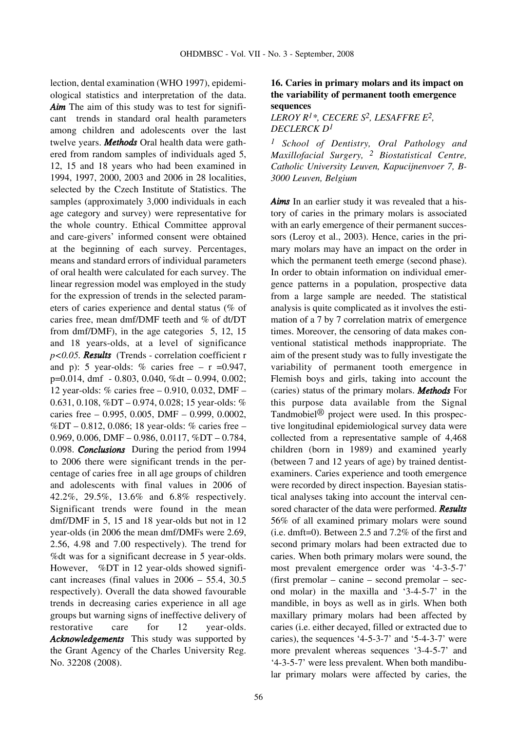lection, dental examination (WHO 1997), epidemiological statistics and interpretation of the data. *Aim* The aim of this study was to test for significant trends in standard oral health parameters among children and adolescents over the last twelve years. *Methods* Oral health data were gathered from random samples of individuals aged 5, 12, 15 and 18 years who had been examined in 1994, 1997, 2000, 2003 and 2006 in 28 localities, selected by the Czech Institute of Statistics. The samples (approximately 3,000 individuals in each age category and survey) were representative for the whole country. Ethical Committee approval and care-givers' informed consent were obtained at the beginning of each survey. Percentages, means and standard errors of individual parameters of oral health were calculated for each survey. The linear regression model was employed in the study for the expression of trends in the selected parameters of caries experience and dental status (% of caries free, mean dmf/DMF teeth and % of dt/DT from dmf/DMF), in the age categories 5, 12, 15 and 18 years-olds, at a level of significance *p<0.05. Results* (Trends - correlation coefficient r and p): 5 year-olds:  $\%$  caries free – r =0.947, p=0.014, dmf - 0.803, 0.040, %dt – 0.994, 0.002; 12 year-olds: % caries free – 0.910, 0.032, DMF – 0.631, 0.108, %DT – 0.974, 0.028; 15 year-olds: % caries free – 0.995, 0.005, DMF – 0.999, 0.0002, %DT – 0.812, 0.086; 18 year-olds: % caries free – 0.969, 0.006, DMF – 0.986, 0.0117, %DT – 0.784, 0.098. *Conclusions* During the period from 1994 to 2006 there were significant trends in the percentage of caries free in all age groups of children and adolescents with final values in 2006 of 42.2%, 29.5%, 13.6% and 6.8% respectively. Significant trends were found in the mean dmf/DMF in 5, 15 and 18 year-olds but not in 12 year-olds (in 2006 the mean dmf/DMFs were 2.69, 2.56, 4.98 and 7.00 respectively). The trend for %dt was for a significant decrease in 5 year-olds. However, %DT in 12 year-olds showed significant increases (final values in 2006 – 55.4, 30.5 respectively). Overall the data showed favourable trends in decreasing caries experience in all age groups but warning signs of ineffective delivery of restorative care for 12 year-olds. *Acknowledgements* This study was supported by the Grant Agency of the Charles University Reg. No. 32208 (2008).

## **16. Caries in primary molars and its impact on the variability of permanent tooth emergence sequences**

*LEROY R1\*, CECERE S2, LESAFFRE E2, DECLERCK D1*

*1 School of Dentistry, Oral Pathology and Maxillofacial Surgery, 2 Biostatistical Centre, Catholic University Leuven, Kapucijnenvoer 7, B-3000 Leuven, Belgium*

*Aims* In an earlier study it was revealed that a history of caries in the primary molars is associated with an early emergence of their permanent successors (Leroy et al., 2003). Hence, caries in the primary molars may have an impact on the order in which the permanent teeth emerge (second phase). In order to obtain information on individual emergence patterns in a population, prospective data from a large sample are needed. The statistical analysis is quite complicated as it involves the estimation of a 7 by 7 correlation matrix of emergence times. Moreover, the censoring of data makes conventional statistical methods inappropriate. The aim of the present study was to fully investigate the variability of permanent tooth emergence in Flemish boys and girls, taking into account the (caries) status of the primary molars. *Methods* For this purpose data available from the Signal Tandmobiel® project were used. In this prospective longitudinal epidemiological survey data were collected from a representative sample of 4,468 children (born in 1989) and examined yearly (between 7 and 12 years of age) by trained dentistexaminers. Caries experience and tooth emergence were recorded by direct inspection. Bayesian statistical analyses taking into account the interval censored character of the data were performed. *Results* 56% of all examined primary molars were sound (i.e. dmft=0). Between 2.5 and 7.2% of the first and second primary molars had been extracted due to caries. When both primary molars were sound, the most prevalent emergence order was '4-3-5-7' (first premolar – canine – second premolar – second molar) in the maxilla and '3-4-5-7' in the mandible, in boys as well as in girls. When both maxillary primary molars had been affected by caries (i.e. either decayed, filled or extracted due to caries), the sequences '4-5-3-7' and '5-4-3-7' were more prevalent whereas sequences '3-4-5-7' and '4-3-5-7' were less prevalent. When both mandibular primary molars were affected by caries, the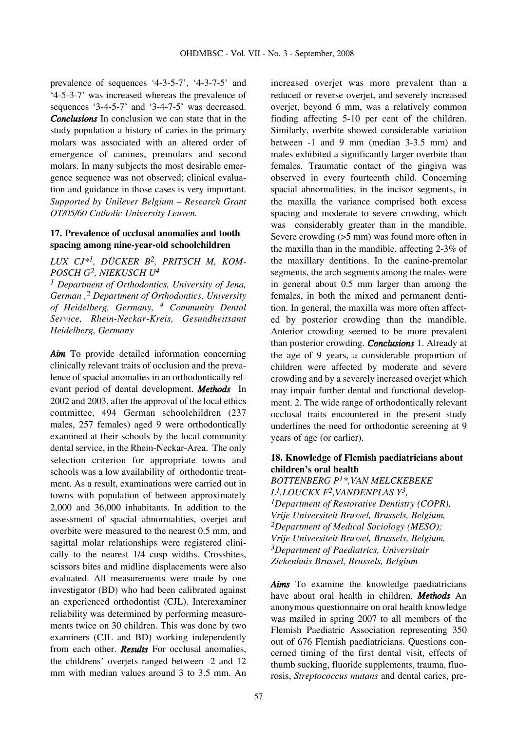prevalence of sequences '4-3-5-7', '4-3-7-5' and '4-5-3-7' was increased whereas the prevalence of sequences '3-4-5-7' and '3-4-7-5' was decreased. *Conclusions* In conclusion we can state that in the study population a history of caries in the primary molars was associated with an altered order of emergence of canines, premolars and second molars. In many subjects the most desirable emergence sequence was not observed; clinical evaluation and guidance in those cases is very important. *Supported by Unilever Belgium – Research Grant OT/05/60 Catholic University Leuven.*

#### **17. Prevalence of occlusal anomalies and tooth spacing among nine-year-old schoolchildren**

*LUX CJ\*1, DÜCKER B2, PRITSCH M, KOM-POSCH G2, NIEKUSCH U4*

*1 Department of Orthodontics, University of Jena, German ,2 Department of Orthodontics, University of Heidelberg, Germany, 4 Community Dental Service, Rhein-Neckar-Kreis, Gesundheitsamt Heidelberg, Germany*

*Aim* To provide detailed information concerning clinically relevant traits of occlusion and the prevalence of spacial anomalies in an orthodontically relevant period of dental development. *Methods* In 2002 and 2003, after the approval of the local ethics committee, 494 German schoolchildren (237 males, 257 females) aged 9 were orthodontically examined at their schools by the local community dental service, in the Rhein-Neckar-Area. The only selection criterion for appropriate towns and schools was a low availability of orthodontic treatment. As a result, examinations were carried out in towns with population of between approximately 2,000 and 36,000 inhabitants. In addition to the assessment of spacial abnormalities, overjet and overbite were measured to the nearest 0.5 mm, and sagittal molar relationships were registered clinically to the nearest 1/4 cusp widths. Crossbites, scissors bites and midline displacements were also evaluated. All measurements were made by one investigator (BD) who had been calibrated against an experienced orthodontist (CJL). Interexaminer reliability was determined by performing measurements twice on 30 children. This was done by two examiners (CJL and BD) working independently from each other. *Results* For occlusal anomalies, the childrens' overjets ranged between -2 and 12 mm with median values around 3 to 3.5 mm. An increased overjet was more prevalent than a reduced or reverse overjet, and severely increased overjet, beyond 6 mm, was a relatively common finding affecting 5-10 per cent of the children. Similarly, overbite showed considerable variation between -1 and 9 mm (median 3-3.5 mm) and males exhibited a significantly larger overbite than females. Traumatic contact of the gingiva was observed in every fourteenth child. Concerning spacial abnormalities, in the incisor segments, in the maxilla the variance comprised both excess spacing and moderate to severe crowding, which was considerably greater than in the mandible. Severe crowding (>5 mm) was found more often in the maxilla than in the mandible, affecting 2-3% of the maxillary dentitions. In the canine-premolar segments, the arch segments among the males were in general about 0.5 mm larger than among the females, in both the mixed and permanent dentition. In general, the maxilla was more often affected by posterior crowding than the mandible. Anterior crowding seemed to be more prevalent than posterior crowding. *Conclusions* 1. Already at the age of 9 years, a considerable proportion of children were affected by moderate and severe crowding and by a severely increased overjet which may impair further dental and functional development. 2. The wide range of orthodontically relevant occlusal traits encountered in the present study underlines the need for orthodontic screening at 9 years of age (or earlier).

# **18. Knowledge of Flemish paediatricians about children's oral health**

*BOTTENBERG P1\*,VAN MELCKEBEKE L1,LOUCKX F2,VANDENPLAS Y3, 1Department of Restorative Dentistry (COPR), Vrije Universiteit Brussel, Brussels, Belgium, 2Department of Medical Sociology (MESO); Vrije Universiteit Brussel, Brussels, Belgium, 3Department of Paediatrics, Universitair Ziekenhuis Brussel, Brussels, Belgium*

*Aims* To examine the knowledge paediatricians have about oral health in children. *Methods* An anonymous questionnaire on oral health knowledge was mailed in spring 2007 to all members of the Flemish Paediatric Association representing 350 out of 676 Flemish paediatricians. Questions concerned timing of the first dental visit, effects of thumb sucking, fluoride supplements, trauma, fluorosis, *Streptococcus mutans* and dental caries, pre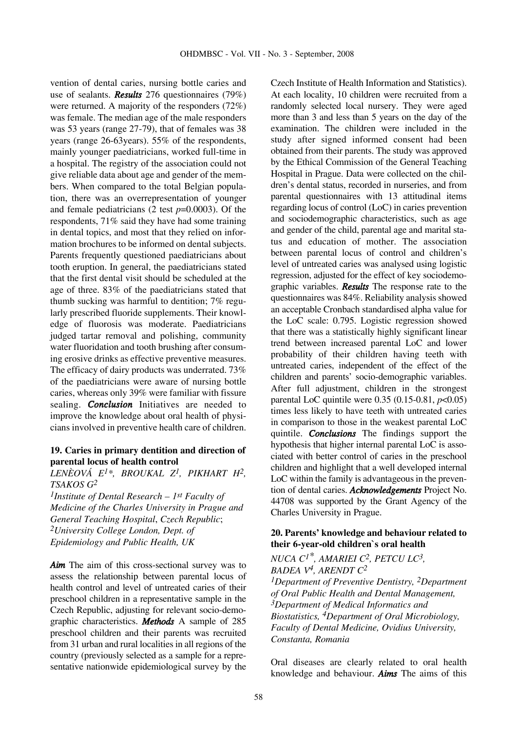vention of dental caries, nursing bottle caries and use of sealants. *Results* 276 questionnaires (79%) were returned. A majority of the responders (72%) was female. The median age of the male responders was 53 years (range 27-79), that of females was 38 years (range 26-63years). 55% of the respondents, mainly younger paediatricians, worked full-time in a hospital. The registry of the association could not give reliable data about age and gender of the members. When compared to the total Belgian population, there was an overrepresentation of younger and female pediatricians (2 test *p*=0.0003). Of the respondents, 71% said they have had some training in dental topics, and most that they relied on information brochures to be informed on dental subjects. Parents frequently questioned paediatricians about tooth eruption. In general, the paediatricians stated that the first dental visit should be scheduled at the age of three. 83% of the paediatricians stated that thumb sucking was harmful to dentition; 7% regularly prescribed fluoride supplements. Their knowledge of fluorosis was moderate. Paediatricians judged tartar removal and polishing, community water fluoridation and tooth brushing after consuming erosive drinks as effective preventive measures. The efficacy of dairy products was underrated. 73% of the paediatricians were aware of nursing bottle caries, whereas only 39% were familiar with fissure sealing. *Conclusion* Initiatives are needed to improve the knowledge about oral health of physicians involved in preventive health care of children.

## **19. Caries in primary dentition and direction of parental locus of health control**

*LENÈOVÁ E1\*, BROUKAL Z1, PIKHART H2, TSAKOS G2*

*1Institute of Dental Research – 1st Faculty of Medicine of the Charles University in Prague and General Teaching Hospital*, *Czech Republic*; *2University College London, Dept. of Epidemiology and Public Health, UK*

*Aim* The aim of this cross-sectional survey was to assess the relationship between parental locus of health control and level of untreated caries of their preschool children in a representative sample in the Czech Republic, adjusting for relevant socio-demographic characteristics. *Methods* A sample of 285 preschool children and their parents was recruited from 31 urban and rural localities in all regions of the country (previously selected as a sample for a representative nationwide epidemiological survey by the Czech Institute of Health Information and Statistics). At each locality, 10 children were recruited from a randomly selected local nursery. They were aged more than 3 and less than 5 years on the day of the examination. The children were included in the study after signed informed consent had been obtained from their parents. The study was approved by the Ethical Commission of the General Teaching Hospital in Prague. Data were collected on the children's dental status, recorded in nurseries, and from parental questionnaires with 13 attitudinal items regarding locus of control (LoC) in caries prevention and sociodemographic characteristics, such as age and gender of the child, parental age and marital status and education of mother. The association between parental locus of control and children's level of untreated caries was analysed using logistic regression, adjusted for the effect of key sociodemographic variables. *Results* The response rate to the questionnaires was 84%. Reliability analysis showed an acceptable Cronbach standardised alpha value for the LoC scale: 0.795. Logistic regression showed that there was a statistically highly significant linear trend between increased parental LoC and lower probability of their children having teeth with untreated caries, independent of the effect of the children and parents' socio-demographic variables. After full adjustment, children in the strongest parental LoC quintile were 0.35 (0.15-0.81, *p*<0.05) times less likely to have teeth with untreated caries in comparison to those in the weakest parental LoC quintile. *Conclusions* The findings support the hypothesis that higher internal parental LoC is associated with better control of caries in the preschool children and highlight that a well developed internal LoC within the family is advantageous in the prevention of dental caries. *Acknowledgements* Project No. 44708 was supported by the Grant Agency of the Charles University in Prague.

## **20. Parents' knowledge and behaviour related to their 6-year-old children`s oral health**

*NUCA C1\*, AMARIEI C2, PETCU LC3, BADEA V4, ARENDT C2 1Department of Preventive Dentistry, 2Department of Oral Public Health and Dental Management, 3Department of Medical Informatics and Biostatistics, 4Department of Oral Microbiology, Faculty of Dental Medicine, Ovidius University, Constanta, Romania*

Oral diseases are clearly related to oral health knowledge and behaviour. *Aims* The aims of this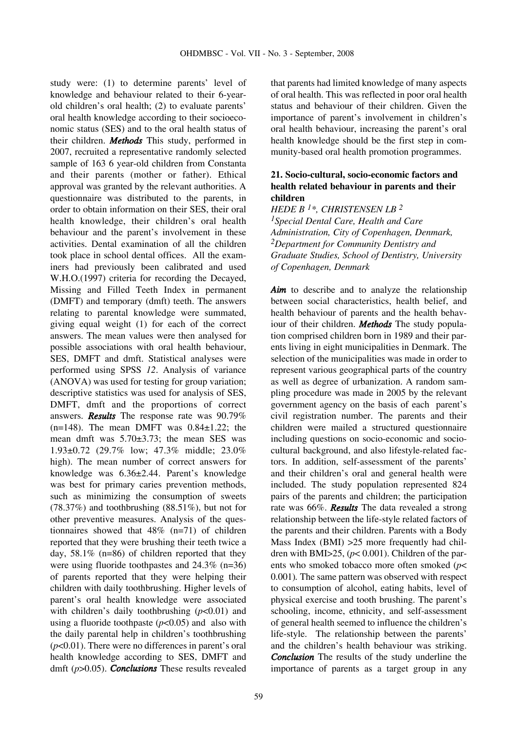study were: (1) to determine parents' level of knowledge and behaviour related to their 6-yearold children's oral health; (2) to evaluate parents' oral health knowledge according to their socioeconomic status (SES) and to the oral health status of their children. *Methods* This study, performed in 2007, recruited a representative randomly selected sample of 163 6 year-old children from Constanta and their parents (mother or father). Ethical approval was granted by the relevant authorities. A questionnaire was distributed to the parents, in order to obtain information on their SES, their oral health knowledge, their children's oral health behaviour and the parent's involvement in these activities. Dental examination of all the children took place in school dental offices. All the examiners had previously been calibrated and used W.H.O.(1997) criteria for recording the Decayed, Missing and Filled Teeth Index in permanent (DMFT) and temporary (dmft) teeth. The answers relating to parental knowledge were summated, giving equal weight (1) for each of the correct answers. The mean values were then analysed for possible associations with oral health behaviour, SES, DMFT and dmft. Statistical analyses were performed using SPSS *12*. Analysis of variance (ANOVA) was used for testing for group variation; descriptive statistics was used for analysis of SES, DMFT, dmft and the proportions of correct answers. *Results* The response rate was 90.79%  $(n=148)$ . The mean DMFT was  $0.84\pm1.22$ ; the mean dmft was 5.70±3.73; the mean SES was 1.93±0.72 (29.7% low; 47.3% middle; 23.0% high). The mean number of correct answers for knowledge was 6.36±2.44. Parent's knowledge was best for primary caries prevention methods, such as minimizing the consumption of sweets (78.37%) and toothbrushing (88.51%), but not for other preventive measures. Analysis of the questionnaires showed that 48% (n=71) of children reported that they were brushing their teeth twice a day, 58.1% (n=86) of children reported that they were using fluoride toothpastes and 24.3% (n=36) of parents reported that they were helping their children with daily toothbrushing. Higher levels of parent's oral health knowledge were associated with children's daily toothbrushing  $(p<0.01)$  and using a fluoride toothpaste  $(p<0.05)$  and also with the daily parental help in children's toothbrushing (*p*<0.01). There were no differences in parent's oral health knowledge according to SES, DMFT and dmft (*p*>0.05). *Conclusions* These results revealed that parents had limited knowledge of many aspects of oral health. This was reflected in poor oral health status and behaviour of their children. Given the importance of parent's involvement in children's oral health behaviour, increasing the parent's oral health knowledge should be the first step in community-based oral health promotion programmes.

## **21. Socio-cultural, socio-economic factors and health related behaviour in parents and their children**

*HEDE B 1\*, CHRISTENSEN LB 2 1Special Dental Care, Health and Care Administration, City of Copenhagen, Denmark, 2Department for Community Dentistry and Graduate Studies, School of Dentistry, University of Copenhagen, Denmark*

Aim to describe and to analyze the relationship between social characteristics, health belief, and health behaviour of parents and the health behaviour of their children. *Methods* The study population comprised children born in 1989 and their parents living in eight municipalities in Denmark. The selection of the municipalities was made in order to represent various geographical parts of the country as well as degree of urbanization. A random sampling procedure was made in 2005 by the relevant government agency on the basis of each parent's civil registration number. The parents and their children were mailed a structured questionnaire including questions on socio-economic and sociocultural background, and also lifestyle-related factors. In addition, self-assessment of the parents' and their children's oral and general health were included. The study population represented 824 pairs of the parents and children; the participation rate was 66%. *Results* The data revealed a strong relationship between the life-style related factors of the parents and their children. Parents with a Body Mass Index (BMI) >25 more frequently had children with BMI $>$ 25, ( $p$ < 0.001). Children of the parents who smoked tobacco more often smoked (*p*< 0.001)*.* The same pattern was observed with respect to consumption of alcohol, eating habits, level of physical exercise and tooth brushing. The parent's schooling, income, ethnicity, and self-assessment of general health seemed to influence the children's life-style. The relationship between the parents' and the children's health behaviour was striking. *Conclusion* The results of the study underline the importance of parents as a target group in any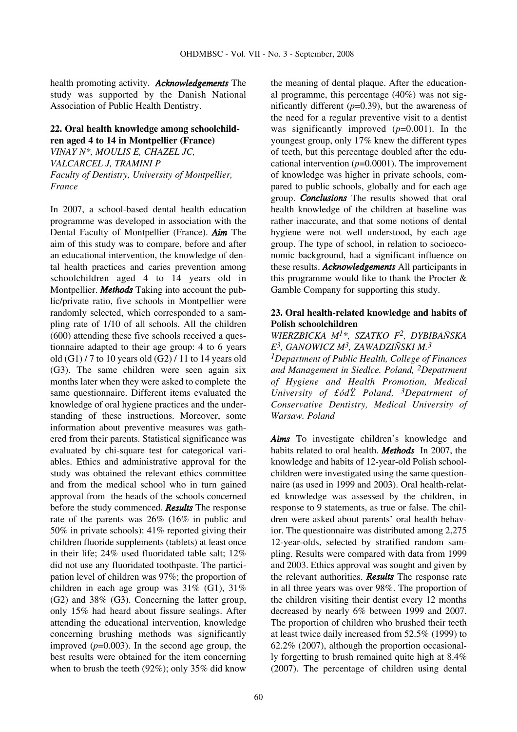health promoting activity. *Acknowledgements* The study was supported by the Danish National Association of Public Health Dentistry.

# **22. Oral health knowledge among schoolchildren aged 4 to 14 in Montpellier (France)**

*VINAY N\*, MOULIS E, CHAZEL JC, VALCARCEL J, TRAMINI P Faculty of Dentistry, University of Montpellier, France*

In 2007, a school-based dental health education programme was developed in association with the Dental Faculty of Montpellier (France). *Aim* The aim of this study was to compare, before and after an educational intervention, the knowledge of dental health practices and caries prevention among schoolchildren aged 4 to 14 years old in Montpellier. *Methods* Taking into account the public/private ratio, five schools in Montpellier were randomly selected, which corresponded to a sampling rate of 1/10 of all schools. All the children (600) attending these five schools received a questionnaire adapted to their age group: 4 to 6 years old  $(G1)$  / 7 to 10 years old  $(G2)$  / 11 to 14 years old (G3). The same children were seen again six months later when they were asked to complete the same questionnaire. Different items evaluated the knowledge of oral hygiene practices and the understanding of these instructions. Moreover, some information about preventive measures was gathered from their parents. Statistical significance was evaluated by chi-square test for categorical variables. Ethics and administrative approval for the study was obtained the relevant ethics committee and from the medical school who in turn gained approval from the heads of the schools concerned before the study commenced. *Results* The response rate of the parents was 26% (16% in public and 50% in private schools): 41% reported giving their children fluoride supplements (tablets) at least once in their life; 24% used fluoridated table salt; 12% did not use any fluoridated toothpaste. The participation level of children was 97%; the proportion of children in each age group was 31% (G1), 31% (G2) and 38% (G3). Concerning the latter group, only 15% had heard about fissure sealings. After attending the educational intervention, knowledge concerning brushing methods was significantly improved  $(p=0.003)$ . In the second age group, the best results were obtained for the item concerning when to brush the teeth (92%); only 35% did know

the meaning of dental plaque. After the educational programme, this percentage  $(40\%)$  was not significantly different (*p*=0.39), but the awareness of the need for a regular preventive visit to a dentist was significantly improved  $(p=0.001)$ . In the youngest group, only 17% knew the different types of teeth, but this percentage doubled after the educational intervention  $(p=0.0001)$ . The improvement of knowledge was higher in private schools, compared to public schools, globally and for each age group. *Conclusions* The results showed that oral health knowledge of the children at baseline was rather inaccurate, and that some notions of dental hygiene were not well understood, by each age group. The type of school, in relation to socioeconomic background, had a significant influence on these results. *Acknowledgements* All participants in this programme would like to thank the Procter  $\&$ Gamble Company for supporting this study.

# **23. Oral health-related knowledge and habits of Polish schoolchildren**

# *WIERZBICKA M1\*, SZATKO F2, DYBIBAÑSKA E3, GANOWICZ M3, ZAWADZIÑSKI M.3*

*1Department of Public Health, College of Finances and Management in Siedlce. Poland, 2Depatrment of Hygiene and Health Promotion, Medical University of £ódŸ. Poland, 3Depatrment of Conservative Dentistry, Medical University of Warsaw. Poland*

*Aims* To investigate children's knowledge and habits related to oral health. *Methods* In 2007, the knowledge and habits of 12-year-old Polish schoolchildren were investigated using the same questionnaire (as used in 1999 and 2003). Oral health-related knowledge was assessed by the children, in response to 9 statements, as true or false. The children were asked about parents' oral health behavior. The questionnaire was distributed among 2,275 12-year-olds, selected by stratified random sampling. Results were compared with data from 1999 and 2003. Ethics approval was sought and given by the relevant authorities. *Results* The response rate in all three years was over 98%. The proportion of the children visiting their dentist every 12 months decreased by nearly 6% between 1999 and 2007. The proportion of children who brushed their teeth at least twice daily increased from 52.5% (1999) to 62.2% (2007), although the proportion occasionally forgetting to brush remained quite high at 8.4% (2007). The percentage of children using dental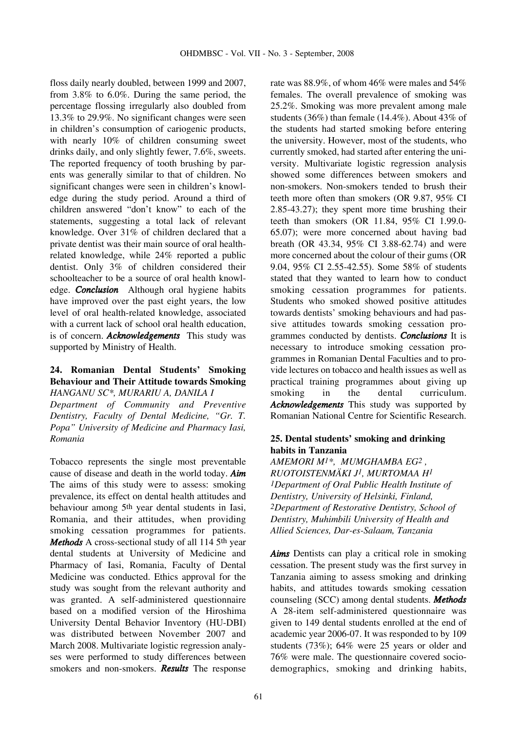floss daily nearly doubled, between 1999 and 2007, from 3.8% to 6.0%. During the same period, the percentage flossing irregularly also doubled from 13.3% to 29.9%. No significant changes were seen in children's consumption of cariogenic products, with nearly 10% of children consuming sweet drinks daily, and only slightly fewer, 7.6%, sweets. The reported frequency of tooth brushing by parents was generally similar to that of children. No significant changes were seen in children's knowledge during the study period. Around a third of children answered "don't know" to each of the statements, suggesting a total lack of relevant knowledge. Over 31% of children declared that a private dentist was their main source of oral healthrelated knowledge, while 24% reported a public dentist. Only 3% of children considered their schoolteacher to be a source of oral health knowledge. *Conclusion* Although oral hygiene habits have improved over the past eight years, the low level of oral health-related knowledge, associated with a current lack of school oral health education, is of concern. *Acknowledgements* This study was supported by Ministry of Health.

## **24. Romanian Dental Students' Smoking Behaviour and Their Attitude towards Smoking**  *HANGANU SC\*, MURARIU A, DANILA I*

*Department of Community and Preventive Dentistry, Faculty of Dental Medicine, "Gr. T. Popa" University of Medicine and Pharmacy Iasi, Romania*

Tobacco represents the single most preventable cause of disease and death in the world today. *Aim* The aims of this study were to assess: smoking prevalence, its effect on dental health attitudes and behaviour among 5th year dental students in Iasi, Romania, and their attitudes, when providing smoking cessation programmes for patients. *Methods* A cross-sectional study of all 114 5<sup>th</sup> year dental students at University of Medicine and Pharmacy of Iasi, Romania, Faculty of Dental Medicine was conducted. Ethics approval for the study was sought from the relevant authority and was granted. A self-administered questionnaire based on a modified version of the Hiroshima University Dental Behavior Inventory (HU-DBI) was distributed between November 2007 and March 2008. Multivariate logistic regression analyses were performed to study differences between smokers and non-smokers. *Results* The response rate was 88.9%, of whom 46% were males and 54% females. The overall prevalence of smoking was 25.2%. Smoking was more prevalent among male students (36%) than female (14.4%). About 43% of the students had started smoking before entering the university. However, most of the students, who currently smoked, had started after entering the university. Multivariate logistic regression analysis showed some differences between smokers and non-smokers. Non-smokers tended to brush their teeth more often than smokers (OR 9.87, 95% CI 2.85-43.27); they spent more time brushing their teeth than smokers (OR 11.84, 95% CI 1.99.0- 65.07); were more concerned about having bad breath (OR 43.34, 95% CI 3.88-62.74) and were more concerned about the colour of their gums (OR 9.04, 95% CI 2.55-42.55). Some 58% of students stated that they wanted to learn how to conduct smoking cessation programmes for patients. Students who smoked showed positive attitudes towards dentists' smoking behaviours and had passive attitudes towards smoking cessation programmes conducted by dentists. *Conclusions* It is necessary to introduce smoking cessation programmes in Romanian Dental Faculties and to provide lectures on tobacco and health issues as well as practical training programmes about giving up smoking in the dental curriculum. *Acknowledgements* This study was supported by Romanian National Centre for Scientific Research.

# **25. Dental students' smoking and drinking habits in Tanzania**

*AMEMORI M1\*, MUMGHAMBA EG2 , RUOTOISTENMÄKI J1, MURTOMAA H1 1Department of Oral Public Health Institute of Dentistry, University of Helsinki, Finland, 2Department of Restorative Dentistry, School of Dentistry, Muhimbili University of Health and Allied Sciences, Dar-es-Salaam, Tanzania*

*Aims* Dentists can play a critical role in smoking cessation. The present study was the first survey in Tanzania aiming to assess smoking and drinking habits, and attitudes towards smoking cessation counseling (SCC) among dental students. *Methods* A 28-item self-administered questionnaire was given to 149 dental students enrolled at the end of academic year 2006-07. It was responded to by 109 students (73%); 64% were 25 years or older and 76% were male. The questionnaire covered sociodemographics, smoking and drinking habits,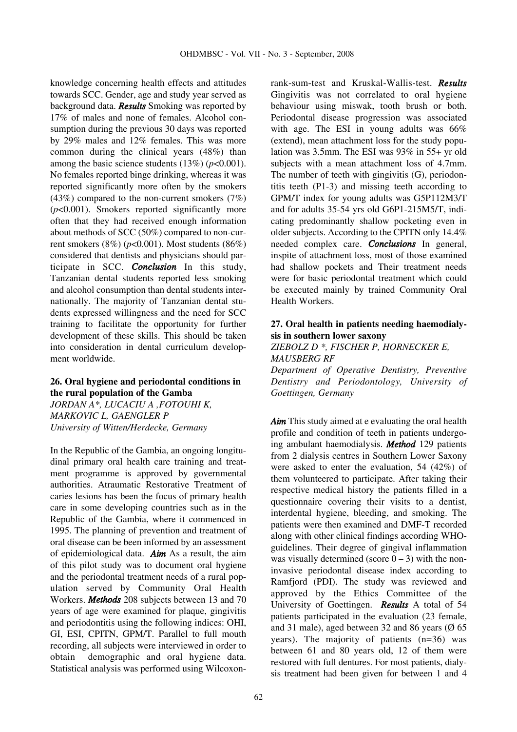knowledge concerning health effects and attitudes towards SCC. Gender, age and study year served as background data. *Results* Smoking was reported by 17% of males and none of females. Alcohol consumption during the previous 30 days was reported by 29% males and 12% females. This was more common during the clinical years (48%) than among the basic science students  $(13\%)$  ( $p<0.001$ ). No females reported binge drinking, whereas it was reported significantly more often by the smokers  $(43%)$  compared to the non-current smokers  $(7%)$ (*p*<0.001). Smokers reported significantly more often that they had received enough information about methods of SCC (50%) compared to non-current smokers (8%) (*p*<0.001). Most students (86%) considered that dentists and physicians should participate in SCC. *Conclusion* In this study, Tanzanian dental students reported less smoking and alcohol consumption than dental students internationally. The majority of Tanzanian dental students expressed willingness and the need for SCC training to facilitate the opportunity for further development of these skills. This should be taken into consideration in dental curriculum development worldwide.

# **26. Oral hygiene and periodontal conditions in the rural population of the Gamba**

*JORDAN A\*, LUCACIU A ,FOTOUHI K, MARKOVIC L, GAENGLER P University of Witten/Herdecke, Germany*

In the Republic of the Gambia, an ongoing longitudinal primary oral health care training and treatment programme is approved by governmental authorities. Atraumatic Restorative Treatment of caries lesions has been the focus of primary health care in some developing countries such as in the Republic of the Gambia, where it commenced in 1995. The planning of prevention and treatment of oral disease can be been informed by an assessment of epidemiological data. *Aim* As a result, the aim of this pilot study was to document oral hygiene and the periodontal treatment needs of a rural population served by Community Oral Health Workers. *Methods* 208 subjects between 13 and 70 years of age were examined for plaque, gingivitis and periodontitis using the following indices: OHI, GI, ESI, CPITN, GPM/T. Parallel to full mouth recording, all subjects were interviewed in order to obtain demographic and oral hygiene data. Statistical analysis was performed using Wilcoxonrank-sum-test and Kruskal-Wallis-test. *Results* Gingivitis was not correlated to oral hygiene behaviour using miswak, tooth brush or both. Periodontal disease progression was associated with age. The ESI in young adults was  $66\%$ (extend), mean attachment loss for the study population was 3.5mm. The ESI was 93% in 55+ yr old subjects with a mean attachment loss of 4.7mm. The number of teeth with gingivitis (G), periodontitis teeth (P1-3) and missing teeth according to GPM/T index for young adults was G5P112M3/T and for adults 35-54 yrs old G6P1-215M5/T, indicating predominantly shallow pocketing even in older subjects. According to the CPITN only 14.4% needed complex care. *Conclusions* In general, inspite of attachment loss, most of those examined had shallow pockets and Their treatment needs were for basic periodontal treatment which could be executed mainly by trained Community Oral Health Workers.

# **27. Oral health in patients needing haemodialysis in southern lower saxony**

*ZIEBOLZ D \*, FISCHER P, HORNECKER E, MAUSBERG RF*

*Department of Operative Dentistry, Preventive Dentistry and Periodontology, University of Goettingen, Germany*

*Aim* This study aimed at e evaluating the oral health profile and condition of teeth in patients undergoing ambulant haemodialysis. *Method* 129 patients from 2 dialysis centres in Southern Lower Saxony were asked to enter the evaluation, 54 (42%) of them volunteered to participate. After taking their respective medical history the patients filled in a questionnaire covering their visits to a dentist, interdental hygiene, bleeding, and smoking. The patients were then examined and DMF-T recorded along with other clinical findings according WHOguidelines. Their degree of gingival inflammation was visually determined (score  $0 - 3$ ) with the noninvasive periodontal disease index according to Ramfjord (PDI). The study was reviewed and approved by the Ethics Committee of the University of Goettingen. *Results* A total of 54 patients participated in the evaluation (23 female, and 31 male), aged between 32 and 86 years ( $\varnothing$  65 years). The majority of patients (n=36) was between 61 and 80 years old, 12 of them were restored with full dentures. For most patients, dialysis treatment had been given for between 1 and 4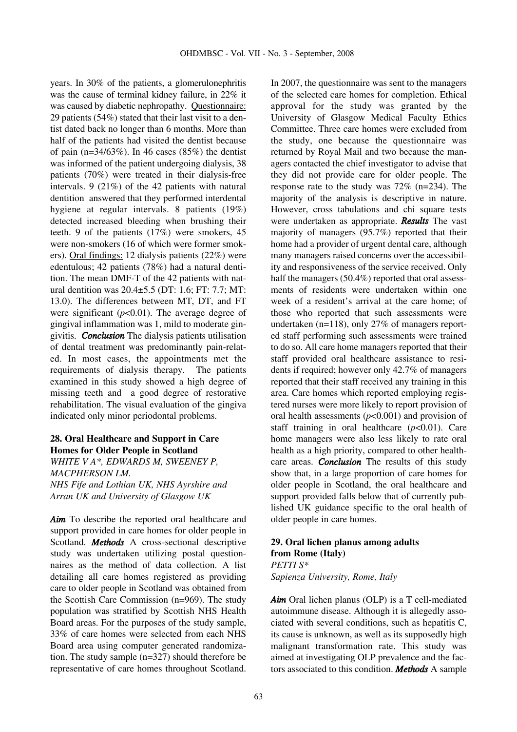years. In 30% of the patients, a glomerulonephritis was the cause of terminal kidney failure, in 22% it was caused by diabetic nephropathy. Questionnaire: 29 patients (54%) stated that their last visit to a dentist dated back no longer than 6 months. More than half of the patients had visited the dentist because of pain (n= $34/63\%$ ). In 46 cases (85%) the dentist was informed of the patient undergoing dialysis, 38 patients (70%) were treated in their dialysis-free intervals. 9 (21%) of the 42 patients with natural dentition answered that they performed interdental hygiene at regular intervals. 8 patients (19%) detected increased bleeding when brushing their teeth. 9 of the patients (17%) were smokers, 45 were non-smokers (16 of which were former smokers). Oral findings: 12 dialysis patients (22%) were edentulous; 42 patients (78%) had a natural dentition. The mean DMF-T of the 42 patients with natural dentition was 20.4±5.5 (DT: 1.6; FT: 7.7; MT: 13.0). The differences between MT, DT, and FT were significant  $(p<0.01)$ . The average degree of gingival inflammation was 1, mild to moderate gingivitis. *Conclusion* The dialysis patients utilisation of dental treatment was predominantly pain-related. In most cases, the appointments met the requirements of dialysis therapy. The patients examined in this study showed a high degree of missing teeth and a good degree of restorative rehabilitation. The visual evaluation of the gingiva indicated only minor periodontal problems.

## **28. Oral Healthcare and Support in Care Homes for Older People in Scotland**

*WHITE V A\*, EDWARDS M, SWEENEY P, MACPHERSON LM. NHS Fife and Lothian UK, NHS Ayrshire and Arran UK and University of Glasgow UK*

*Aim* To describe the reported oral healthcare and support provided in care homes for older people in Scotland. *Methods* A cross-sectional descriptive study was undertaken utilizing postal questionnaires as the method of data collection. A list detailing all care homes registered as providing care to older people in Scotland was obtained from the Scottish Care Commission (n=969). The study population was stratified by Scottish NHS Health Board areas. For the purposes of the study sample, 33% of care homes were selected from each NHS Board area using computer generated randomization. The study sample (n=327) should therefore be representative of care homes throughout Scotland. In 2007, the questionnaire was sent to the managers of the selected care homes for completion. Ethical approval for the study was granted by the University of Glasgow Medical Faculty Ethics Committee. Three care homes were excluded from the study, one because the questionnaire was returned by Royal Mail and two because the managers contacted the chief investigator to advise that they did not provide care for older people. The response rate to the study was 72% (n=234). The majority of the analysis is descriptive in nature. However, cross tabulations and chi square tests were undertaken as appropriate. *Results* The vast majority of managers (95.7%) reported that their home had a provider of urgent dental care, although many managers raised concerns over the accessibility and responsiveness of the service received. Only half the managers (50.4%) reported that oral assessments of residents were undertaken within one week of a resident's arrival at the care home; of those who reported that such assessments were undertaken (n=118), only 27% of managers reported staff performing such assessments were trained to do so. All care home managers reported that their staff provided oral healthcare assistance to residents if required; however only 42.7% of managers reported that their staff received any training in this area. Care homes which reported employing registered nurses were more likely to report provision of oral health assessments  $(p<0.001)$  and provision of staff training in oral healthcare  $(p<0.01)$ . Care home managers were also less likely to rate oral health as a high priority, compared to other healthcare areas. *Conclusion* The results of this study show that, in a large proportion of care homes for older people in Scotland, the oral healthcare and support provided falls below that of currently published UK guidance specific to the oral health of older people in care homes.

## **29. Oral lichen planus among adults from Rome (Italy)**

*PETTI S\* Sapienza University, Rome, Italy*

*Aim* Oral lichen planus (OLP) is a T cell-mediated autoimmune disease. Although it is allegedly associated with several conditions, such as hepatitis C, its cause is unknown, as well as its supposedly high malignant transformation rate. This study was aimed at investigating OLP prevalence and the factors associated to this condition. *Methods* A sample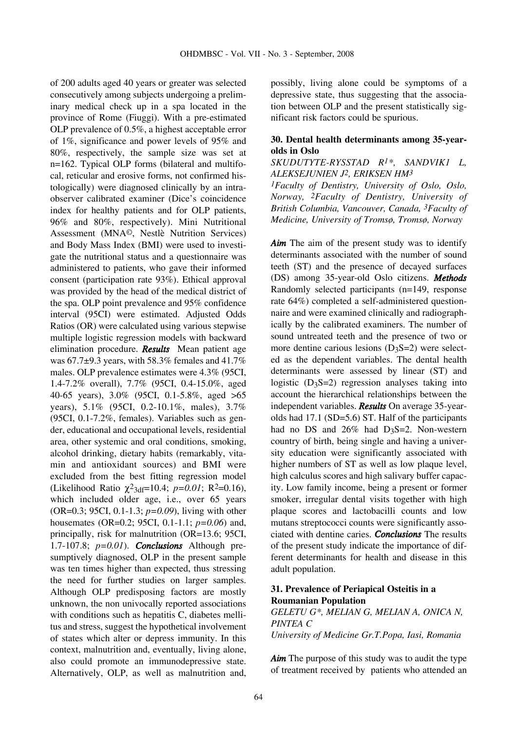of 200 adults aged 40 years or greater was selected consecutively among subjects undergoing a preliminary medical check up in a spa located in the province of Rome (Fiuggi). With a pre-estimated OLP prevalence of 0.5%, a highest acceptable error of 1%, significance and power levels of 95% and 80%, respectively, the sample size was set at n=162. Typical OLP forms (bilateral and multifocal, reticular and erosive forms, not confirmed histologically) were diagnosed clinically by an intraobserver calibrated examiner (Dice's coincidence index for healthy patients and for OLP patients, 96% and 80%, respectively). Mini Nutritional Assessment (MNA©, Nestlè Nutrition Services) and Body Mass Index (BMI) were used to investigate the nutritional status and a questionnaire was administered to patients, who gave their informed consent (participation rate 93%). Ethical approval was provided by the head of the medical district of the spa. OLP point prevalence and 95% confidence interval (95CI) were estimated. Adjusted Odds Ratios (OR) were calculated using various stepwise multiple logistic regression models with backward elimination procedure. *Results* Mean patient age was  $67.7\pm9.3$  years, with 58.3% females and 41.7% males. OLP prevalence estimates were 4.3% (95CI, 1.4-7.2% overall), 7.7% (95CI, 0.4-15.0%, aged 40-65 years), 3.0% (95CI, 0.1-5.8%, aged >65 years), 5.1% (95CI, 0.2-10.1%, males), 3.7% (95CI, 0.1-7.2%, females). Variables such as gender, educational and occupational levels, residential area, other systemic and oral conditions, smoking, alcohol drinking, dietary habits (remarkably, vitamin and antioxidant sources) and BMI were excluded from the best fitting regression model (Likelihood Ratio  $\chi^2$ <sub>3df</sub>=10.4; *p*=0.01; R<sup>2</sup>=0.16), which included older age, i.e., over 65 years (OR=0.3; 95CI, 0.1-1.3; *p=0.09*), living with other housemates (OR=0.2; 95CI, 0.1-1.1; *p=0.06*) and, principally, risk for malnutrition (OR=13.6; 95CI, 1.7-107.8; *p=0.01*). *Conclusions* Although presumptively diagnosed, OLP in the present sample was ten times higher than expected, thus stressing the need for further studies on larger samples. Although OLP predisposing factors are mostly unknown, the non univocally reported associations with conditions such as hepatitis C, diabetes mellitus and stress, suggest the hypothetical involvement of states which alter or depress immunity. In this context, malnutrition and, eventually, living alone, also could promote an immunodepressive state. Alternatively, OLP, as well as malnutrition and, possibly, living alone could be symptoms of a depressive state, thus suggesting that the association between OLP and the present statistically significant risk factors could be spurious.

## **30. Dental health determinants among 35-yearolds in Oslo**

#### *SKUDUTYTE-RYSSTAD R1\*, SANDVIK1 L, ALEKSEJUNIEN J2, ERIKSEN HM3*

*1Faculty of Dentistry, University of Oslo, Oslo, Norway, 2Faculty of Dentistry, University of British Columbia, Vancouver, Canada, 3Faculty of Medicine, University of Tromsø, Tromsø, Norway*

*Aim* The aim of the present study was to identify determinants associated with the number of sound teeth (ST) and the presence of decayed surfaces (DS) among 35-year-old Oslo citizens. *Methods* Randomly selected participants (n=149, response rate 64%) completed a self-administered questionnaire and were examined clinically and radiographically by the calibrated examiners. The number of sound untreated teeth and the presence of two or more dentine carious lesions  $(D_3S=2)$  were selected as the dependent variables. The dental health determinants were assessed by linear (ST) and logistic  $(D_3S=2)$  regression analyses taking into account the hierarchical relationships between the independent variables. *Results* On average 35-yearolds had 17.1 (SD=5.6) ST. Half of the participants had no DS and  $26\%$  had D<sub>3</sub>S=2. Non-western country of birth, being single and having a university education were significantly associated with higher numbers of ST as well as low plaque level, high calculus scores and high salivary buffer capacity. Low family income, being a present or former smoker, irregular dental visits together with high plaque scores and lactobacilli counts and low mutans streptococci counts were significantly associated with dentine caries. *Conclusions* The results of the present study indicate the importance of different determinants for health and disease in this adult population.

## **31. Prevalence of Periapical Osteitis in a Roumanian Population**

*GELETU G\*, MELIAN G, MELIAN A, ONICA N, PINTEA C University of Medicine Gr.T.Popa, Iasi, Romania*

*Aim* The purpose of this study was to audit the type of treatment received by patients who attended an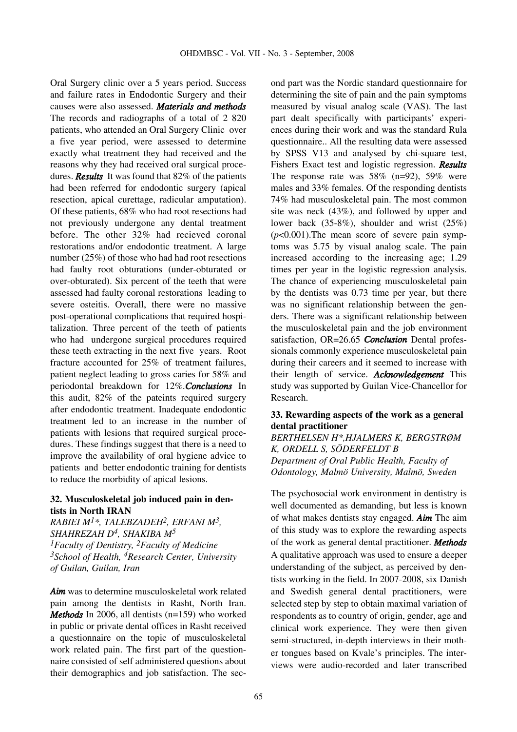Oral Surgery clinic over a 5 years period. Success and failure rates in Endodontic Surgery and their causes were also assessed. *Materials and methods* The records and radiographs of a total of 2 820 patients, who attended an Oral Surgery Clinic over a five year period, were assessed to determine exactly what treatment they had received and the reasons why they had received oral surgical procedures. *Results* It was found that 82% of the patients had been referred for endodontic surgery (apical resection, apical curettage, radicular amputation). Of these patients, 68% who had root resections had not previously undergone any dental treatment before. The other 32% had recieved coronal restorations and/or endodontic treatment. A large number (25%) of those who had had root resections had faulty root obturations (under-obturated or over-obturated). Six percent of the teeth that were assessed had faulty coronal restorations leading to severe osteitis. Overall, there were no massive post-operational complications that required hospitalization. Three percent of the teeth of patients who had undergone surgical procedures required these teeth extracting in the next five years. Root fracture accounted for 25% of treatment failures, patient neglect leading to gross caries for 58% and periodontal breakdown for 12%.*Conclusions* In this audit, 82% of the pateints required surgery after endodontic treatment. Inadequate endodontic treatment led to an increase in the number of patients with lesions that required surgical procedures. These findings suggest that there is a need to improve the availability of oral hygiene advice to patients and better endodontic training for dentists to reduce the morbidity of apical lesions.

#### **32. Musculoskeletal job induced pain in dentists in North IRAN**

*RABIEI M1\*, TALEBZADEH2, ERFANI M3, SHAHREZAH D4, SHAKIBA M5 1Faculty of Dentistry, 2Faculty of Medicine 3School of Health, 4Research Center, University of Guilan, Guilan, Iran*

*Aim* was to determine musculoskeletal work related pain among the dentists in Rasht, North Iran. *Methods* In 2006, all dentists (n=159) who worked in public or private dental offices in Rasht received a questionnaire on the topic of musculoskeletal work related pain. The first part of the questionnaire consisted of self administered questions about their demographics and job satisfaction. The second part was the Nordic standard questionnaire for determining the site of pain and the pain symptoms measured by visual analog scale (VAS). The last part dealt specifically with participants' experiences during their work and was the standard Rula questionnaire.. All the resulting data were assessed by SPSS V13 and analysed by chi-square test, Fishers Exact test and logistic regression. *Results* The response rate was 58% (n=92), 59% were males and 33% females. Of the responding dentists 74% had musculoskeletal pain. The most common site was neck (43%), and followed by upper and lower back (35-8%), shoulder and wrist (25%)  $(p<0.001)$ . The mean score of severe pain symptoms was 5.75 by visual analog scale. The pain increased according to the increasing age; 1.29 times per year in the logistic regression analysis. The chance of experiencing musculoskeletal pain by the dentists was 0.73 time per year, but there was no significant relationship between the genders. There was a significant relationship between the musculoskeletal pain and the job environment satisfaction, OR=26.65 *Conclusion* Dental professionals commonly experience musculoskeletal pain during their careers and it seemed to increase with their length of service. *Acknowledgement* This study was supported by Guilan Vice-Chancellor for Research.

#### **33. Rewarding aspects of the work as a general dental practitioner**

*BERTHELSEN H\*,HJALMERS K, BERGSTRØM K, ORDELL S, SÖDERFELDT B Department of Oral Public Health, Faculty of Odontology, Malmö University, Malmö, Sweden*

The psychosocial work environment in dentistry is well documented as demanding, but less is known of what makes dentists stay engaged. *Aim* The aim of this study was to explore the rewarding aspects of the work as general dental practitioner. *Methods* A qualitative approach was used to ensure a deeper understanding of the subject, as perceived by dentists working in the field. In 2007-2008, six Danish and Swedish general dental practitioners, were selected step by step to obtain maximal variation of respondents as to country of origin, gender, age and clinical work experience. They were then given semi-structured, in-depth interviews in their mother tongues based on Kvale's principles. The interviews were audio-recorded and later transcribed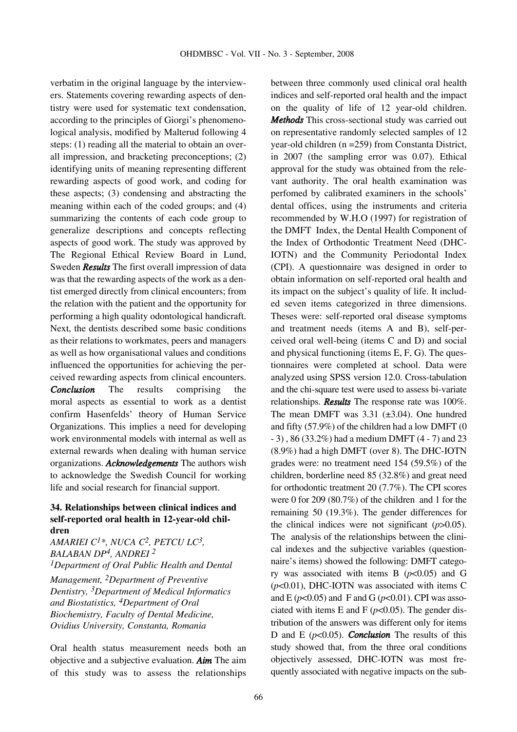verbatim in the original language by the interviewers. Statements covering rewarding aspects of dentistry were used for systematic text condensation, according to the principles of Giorgi's phenomenological analysis, modified by Malterud following 4 steps: (1) reading all the material to obtain an overall impression, and bracketing preconceptions; (2) identifying units of meaning representing different rewarding aspects of good work, and coding for these aspects; (3) condensing and abstracting the meaning within each of the coded groups; and (4) summarizing the contents of each code group to generalize descriptions and concepts reflecting aspects of good work. The study was approved by The Regional Ethical Review Board in Lund, Sweden *Results* The first overall impression of data was that the rewarding aspects of the work as a dentist emerged directly from clinical encounters; from the relation with the patient and the opportunity for performing a high quality odontological handicraft. Next, the dentists described some basic conditions as their relations to workmates, peers and managers as well as how organisational values and conditions influenced the opportunities for achieving the perceived rewarding aspects from clinical encounters. *Conclusion* The results comprising the moral aspects as essential to work as a dentist confirm Hasenfelds' theory of Human Service Organizations. This implies a need for developing work environmental models with internal as well as external rewards when dealing with human service organizations. *Acknowledgements* The authors wish to acknowledge the Swedish Council for working life and social research for financial support.

## **34. Relationships between clinical indices and self-reported oral health in 12-year-old children**

*AMARIEI C1\*, NUCA C2, PETCU LC3, BALABAN DP4, ANDREI 2 1Department of Oral Public Health and Dental Management, 2Department of Preventive Dentistry, 3Department of Medical Informatics and Biostatistics, 4Department of Oral Biochemistry, Faculty of Dental Medicine, Ovidius University, Constanta, Romania*

Oral health status measurement needs both an objective and a subjective evaluation. *Aim* The aim of this study was to assess the relationships between three commonly used clinical oral health indices and self-reported oral health and the impact on the quality of life of 12 year-old children. *Methods* This cross-sectional study was carried out on representative randomly selected samples of 12 year-old children (n =259) from Constanta District, in 2007 (the sampling error was 0.07). Ethical approval for the study was obtained from the relevant authority. The oral health examination was perfomed by calibrated examiners in the schools' dental offices, using the instruments and criteria recommended by W.H.O (1997) for registration of the DMFT Index, the Dental Health Component of the Index of Orthodontic Treatment Need (DHC-IOTN) and the Community Periodontal Index (CPI). A questionnaire was designed in order to obtain information on self-reported oral health and its impact on the subject's quality of life. It included seven items categorized in three dimensions. Theses were: self-reported oral disease symptoms and treatment needs (items A and B), self-perceived oral well-being (items C and D) and social and physical functioning (items E, F, G). The questionnaires were completed at school. Data were analyzed using SPSS version 12.0. Cross-tabulation and the chi-square test were used to assess bi-variate relationships. *Results* The response rate was 100%. The mean DMFT was  $3.31$  ( $\pm 3.04$ ). One hundred and fifty (57.9%) of the children had a low DMFT (0 - 3) , 86 (33.2%) had a medium DMFT (4 - 7) and 23 (8.9%) had a high DMFT (over 8). The DHC-IOTN grades were: no treatment need 154 (59.5%) of the children, borderline need 85 (32.8%) and great need for orthodontic treatment 20 (7.7%). The CPI scores were 0 for 209 (80.7%) of the children and 1 for the remaining 50 (19.3%). The gender differences for the clinical indices were not significant (*p*>0.05). The analysis of the relationships between the clinical indexes and the subjective variables (questionnaire's items) showed the following: DMFT category was associated with items B  $(p<0.05)$  and G (*p*<0.01), DHC-IOTN was associated with items C and E ( $p$ <0.05) and F and G ( $p$ <0.01). CPI was associated with items E and F  $(p<0.05)$ . The gender distribution of the answers was different only for items D and E  $(p<0.05)$ . *Conclusion* The results of this study showed that, from the three oral conditions objectively assessed, DHC-IOTN was most frequently associated with negative impacts on the sub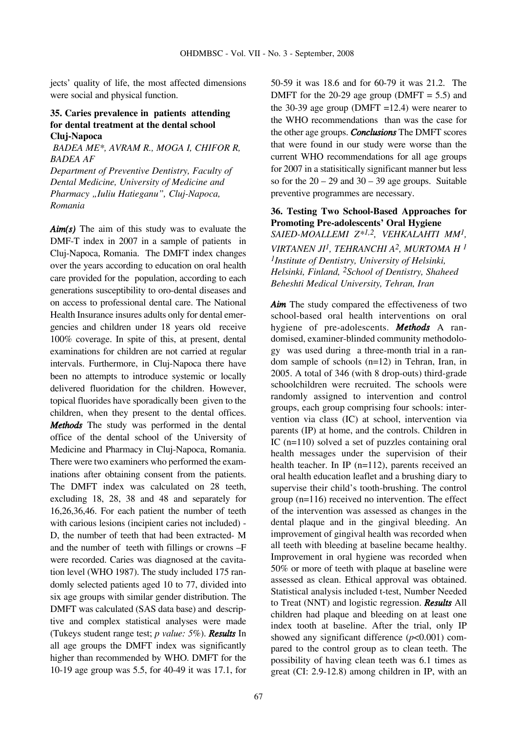jects' quality of life, the most affected dimensions were social and physical function.

## **35. Caries prevalence in patients attending for dental treatment at the dental school Cluj-Napoca**

*BADEA ME\*, AVRAM R., MOGA I, CHIFOR R, BADEA AF Department of Preventive Dentistry, Faculty of*

*Dental Medicine, University of Medicine and Pharmacy "Iuliu Hatieganu", Cluj-Napoca, Romania*

*Aim(s)* The aim of this study was to evaluate the DMF-T index in 2007 in a sample of patients in Cluj-Napoca, Romania. The DMFT index changes over the years according to education on oral health care provided for the population, according to each generations susceptibility to oro-dental diseases and on access to professional dental care. The National Health Insurance insures adults only for dental emergencies and children under 18 years old receive 100% coverage. In spite of this, at present, dental examinations for children are not carried at regular intervals. Furthermore, in Cluj-Napoca there have been no attempts to introduce systemic or locally delivered fluoridation for the children. However, topical fluorides have sporadically been given to the children, when they present to the dental offices. *Methods* The study was performed in the dental office of the dental school of the University of Medicine and Pharmacy in Cluj-Napoca, Romania. There were two examiners who performed the examinations after obtaining consent from the patients. The DMFT index was calculated on 28 teeth, excluding 18, 28, 38 and 48 and separately for 16,26,36,46. For each patient the number of teeth with carious lesions (incipient caries not included) - D, the number of teeth that had been extracted- M and the number of teeth with fillings or crowns –F were recorded. Caries was diagnosed at the cavitation level (WHO 1987). The study included 175 randomly selected patients aged 10 to 77, divided into six age groups with similar gender distribution. The DMFT was calculated (SAS data base) and descriptive and complex statistical analyses were made (Tukeys student range test; *p value: 5%*). *Results* In all age groups the DMFT index was significantly higher than recommended by WHO. DMFT for the 10-19 age group was 5.5, for 40-49 it was 17.1, for 50-59 it was 18.6 and for 60-79 it was 21.2. The DMFT for the 20-29 age group (DMFT  $= 5.5$ ) and the 30-39 age group (DMFT =12.4) were nearer to the WHO recommendations than was the case for the other age groups. *Conclusions* The DMFT scores that were found in our study were worse than the current WHO recommendations for all age groups for 2007 in a statisitically significant manner but less so for the  $20 - 29$  and  $30 - 39$  age groups. Suitable preventive programmes are necessary.

## **36. Testing Two School-Based Approaches for Promoting Pre-adolescents' Oral Hygiene**

*SAIED-MOALLEMI Z\*1,2, VEHKALAHTI MM1, VIRTANEN JI1, TEHRANCHI A2, MURTOMA H 1 1Institute of Dentistry, University of Helsinki, Helsinki, Finland, 2School of Dentistry, Shaheed Beheshti Medical University, Tehran, Iran*

*Aim* The study compared the effectiveness of two school-based oral health interventions on oral hygiene of pre-adolescents. *Methods* A randomised, examiner-blinded community methodology was used during a three-month trial in a random sample of schools (n=12) in Tehran, Iran, in 2005. A total of 346 (with 8 drop-outs) third-grade schoolchildren were recruited. The schools were randomly assigned to intervention and control groups, each group comprising four schools: intervention via class (IC) at school, intervention via parents (IP) at home, and the controls. Children in IC (n=110) solved a set of puzzles containing oral health messages under the supervision of their health teacher. In IP (n=112), parents received an oral health education leaflet and a brushing diary to supervise their child's tooth-brushing. The control group (n=116) received no intervention. The effect of the intervention was assessed as changes in the dental plaque and in the gingival bleeding. An improvement of gingival health was recorded when all teeth with bleeding at baseline became healthy. Improvement in oral hygiene was recorded when 50% or more of teeth with plaque at baseline were assessed as clean. Ethical approval was obtained. Statistical analysis included t-test, Number Needed to Treat (NNT) and logistic regression. *Results* All children had plaque and bleeding on at least one index tooth at baseline. After the trial, only IP showed any significant difference  $(p<0.001)$  compared to the control group as to clean teeth. The possibility of having clean teeth was 6.1 times as great (CI: 2.9-12.8) among children in IP, with an